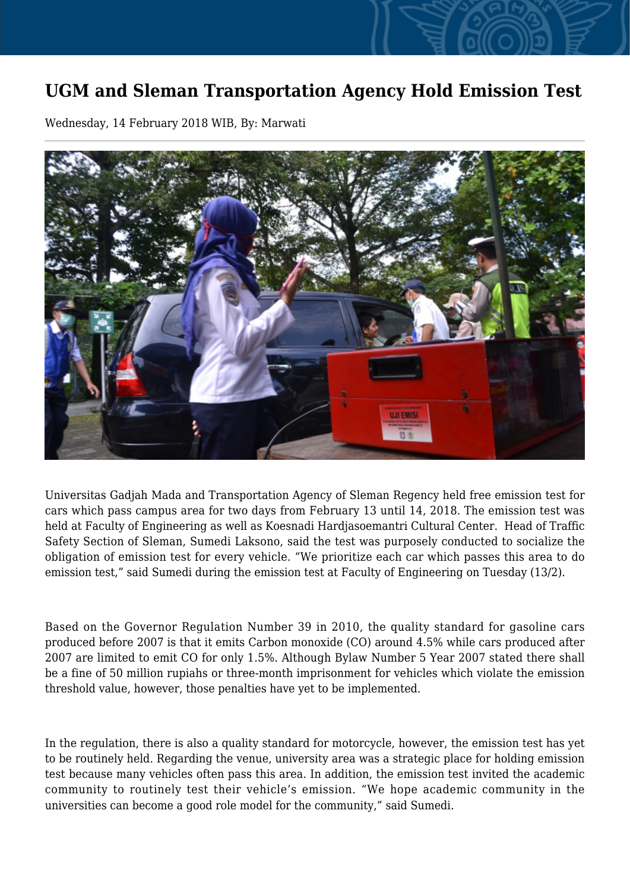## **UGM and Sleman Transportation Agency Hold Emission Test**

Wednesday, 14 February 2018 WIB, By: Marwati



Universitas Gadjah Mada and Transportation Agency of Sleman Regency held free emission test for cars which pass campus area for two days from February 13 until 14, 2018. The emission test was held at Faculty of Engineering as well as Koesnadi Hardjasoemantri Cultural Center. Head of Traffic Safety Section of Sleman, Sumedi Laksono, said the test was purposely conducted to socialize the obligation of emission test for every vehicle. "We prioritize each car which passes this area to do emission test," said Sumedi during the emission test at Faculty of Engineering on Tuesday (13/2).

Based on the Governor Regulation Number 39 in 2010, the quality standard for gasoline cars produced before 2007 is that it emits Carbon monoxide (CO) around 4.5% while cars produced after 2007 are limited to emit CO for only 1.5%. Although Bylaw Number 5 Year 2007 stated there shall be a fine of 50 million rupiahs or three-month imprisonment for vehicles which violate the emission threshold value, however, those penalties have yet to be implemented.

In the regulation, there is also a quality standard for motorcycle, however, the emission test has yet to be routinely held. Regarding the venue, university area was a strategic place for holding emission test because many vehicles often pass this area. In addition, the emission test invited the academic community to routinely test their vehicle's emission. "We hope academic community in the universities can become a good role model for the community," said Sumedi.